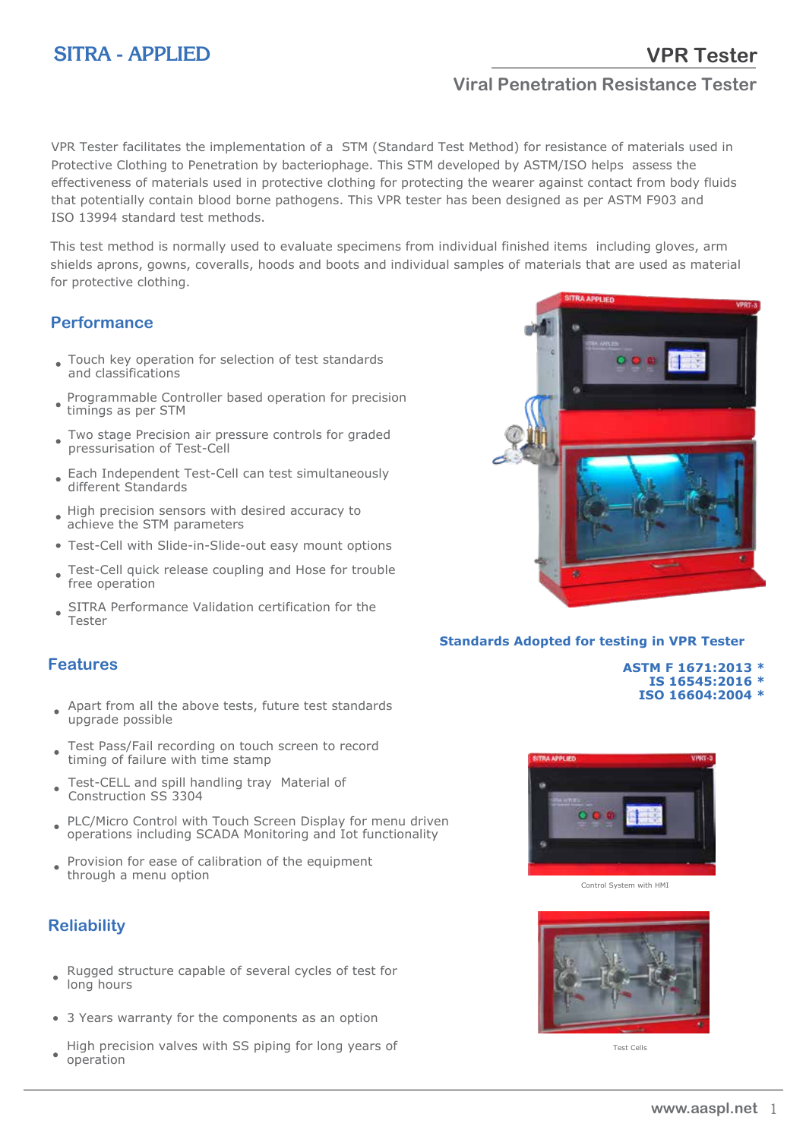# **SITRA - APPLIED**

## **Viral Penetration Resistance Tester**

VPR Tester facilitates the implementation of a STM (Standard Test Method) for resistance of materials used in Protective Clothing to Penetration by bacteriophage. This STM developed by ASTM/ISO helps assess the effectiveness of materials used in protective clothing for protecting the wearer against contact from body fluids that potentially contain blood borne pathogens. This VPR tester has been designed as per ASTM F903 and ISO 13994 standard test methods.

This test method is normally used to evaluate specimens from individual finished items including gloves, arm shields aprons, gowns, coveralls, hoods and boots and individual samples of materials that are used as material for protective clothing.

### **Performance**

- Touch key operation for selection of test standards and classifications
- Programmable Controller based operation for precision timings as per STM
- Two stage Precision air pressure controls for graded pressurisation of Test-Cell
- Each Independent Test-Cell can test simultaneously different Standards
- High precision sensors with desired accuracy to achieve the STM parameters
- Test-Cell with Slide-in-Slide-out easy mount options
- Test-Cell quick release coupling and Hose for trouble free operation
- SITRA Performance Validation certification for the Tester

#### **Features**

- Apart from all the above tests, future test standards ٠ upgrade possible
- Test Pass/Fail recording on touch screen to record timing of failure with time stamp
- Test-CELL and spill handling tray Material of Construction SS 3304
- PLC/Micro Control with Touch Screen Display for menu driven  $\bullet$ operations including SCADA Monitoring and Iot functionality
- Provision for ease of calibration of the equipment  $\bullet$ through a menu option

### **Reliability**

- Rugged structure capable of several cycles of test for long hours
- 3 Years warranty for the components as an option
- High precision valves with SS piping for long years of operation



#### **Standards Adopted for testing in VPR Tester**

 **ASTM F 1671:2013 \* IS 16545:2016 \* ISO 16604:2004 \***



Control System with HMI



Test Cells